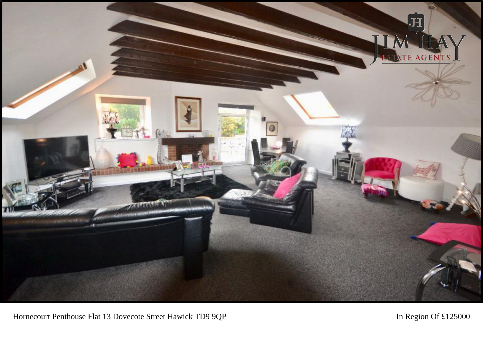

Hornecourt Penthouse Flat 13 Dovecote Street Hawick TD9 9QP In Region Of £125000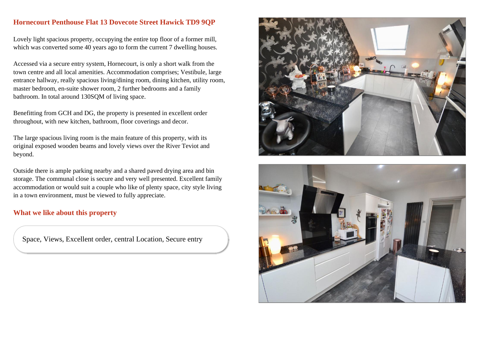## **Hornecourt Penthouse Flat 13 Dovecote Street Hawick TD9 9QP**

Lovely light spacious property, occupying the entire top floor of a former mill, which was converted some 40 years ago to form the current 7 dwelling houses.

Accessed via a secure entry system, Hornecourt, is only a short walk from the town centre and all local amenities. Accommodation comprises; Vestibule, large entrance hallway, really spacious living/dining room, dining kitchen, utility room, master bedroom, en-suite shower room, 2 further bedrooms and a family bathroom. In total around 130SQM of living space.

Benefitting from GCH and DG, the property is presented in excellent order throughout, with new kitchen, bathroom, floor coverings and decor.

The large spacious living room is the main feature of this property, with its original exposed wooden beams and lovely views over the River Teviot and beyond.

Outside there is ample parking nearby and a shared paved drying area and bin storage. The communal close is secure and very well presented. Excellent family accommodation or would suit a couple who like of plenty space, city style living in a town environment, must be viewed to fully appreciate.

## **What we like about this property**

Space, Views, Excellent order, central Location, Secure entry



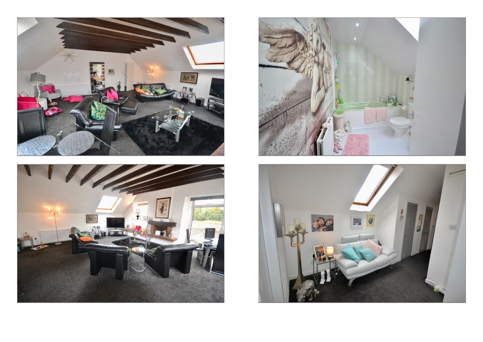